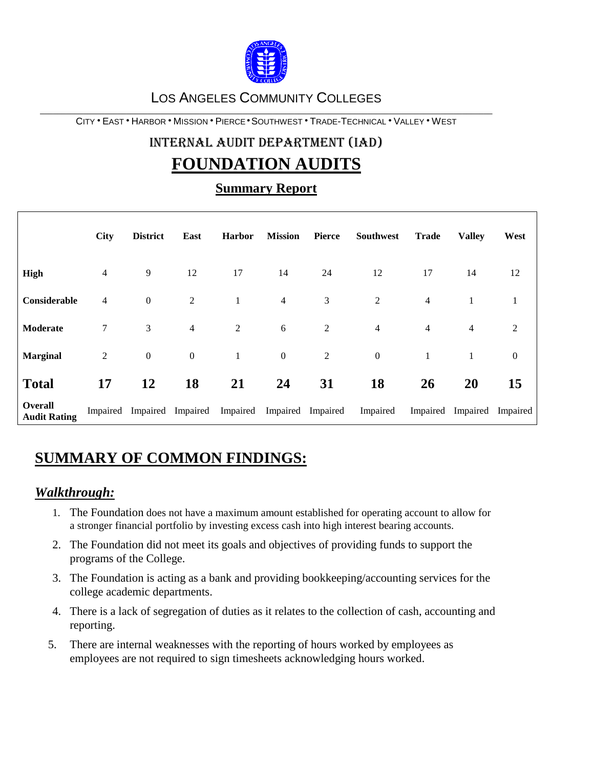

## LOS ANGELES COMMUNITY COLLEGES

\_\_\_\_\_\_\_\_\_\_\_\_\_\_\_\_\_\_\_\_\_\_\_\_\_\_\_\_\_\_\_\_\_\_\_\_\_\_\_\_\_\_\_\_\_\_\_\_\_\_\_\_\_\_\_\_\_\_\_\_\_\_\_\_\_\_\_\_\_\_\_\_\_\_\_\_\_\_\_\_\_\_\_\_\_\_\_\_\_\_\_\_\_\_\_\_\_\_\_\_\_\_\_\_\_ CITY EAST HARBOR MISSION PIERCE SOUTHWEST TRADE-TECHNICAL VALLEY WEST

# INTERNAL AUDIT DEPARTMENT (IAD) **FOUNDATION AUDITS**

# **Summary Report**

|                                | <b>City</b>    | <b>District</b>            | East             | <b>Harbor</b>  | <b>Mission</b>   | <b>Pierce</b>     | Southwest        | <b>Trade</b>   | <b>Valley</b>  | West         |
|--------------------------------|----------------|----------------------------|------------------|----------------|------------------|-------------------|------------------|----------------|----------------|--------------|
| <b>High</b>                    | 4              | 9                          | 12               | 17             | 14               | 24                | 12               | 17             | 14             | 12           |
| Considerable                   | 4              | $\boldsymbol{0}$           | 2                |                | $\overline{4}$   | 3                 | $\overline{2}$   | $\overline{4}$ | 1              | 1            |
| Moderate                       | 7              | 3                          | $\overline{4}$   | $\overline{c}$ | $\sqrt{6}$       | $\overline{2}$    | $\overline{4}$   | $\overline{4}$ | $\overline{4}$ | 2            |
| <b>Marginal</b>                | $\overline{c}$ | $\boldsymbol{0}$           | $\boldsymbol{0}$ | $\mathbf{1}$   | $\boldsymbol{0}$ | $\overline{c}$    | $\boldsymbol{0}$ | 1              | 1              | $\mathbf{0}$ |
| <b>Total</b>                   | 17             | 12                         | <b>18</b>        | 21             | 24               | 31                | 18               | 26             | 20             | 15           |
| Overall<br><b>Audit Rating</b> |                | Impaired Impaired Impaired |                  | Impaired       |                  | Impaired Impaired | Impaired         | Impaired       | Impaired       | Impaired     |

# **SUMMARY OF COMMON FINDINGS:**

# *Walkthrough:*

- 1. The Foundation does not have a maximum amount established for operating account to allow for a stronger financial portfolio by investing excess cash into high interest bearing accounts.
- 2. The Foundation did not meet its goals and objectives of providing funds to support the programs of the College.
- 3. The Foundation is acting as a bank and providing bookkeeping/accounting services for the college academic departments.
- 4. There is a lack of segregation of duties as it relates to the collection of cash, accounting and reporting.
- 5. There are internal weaknesses with the reporting of hours worked by employees as employees are not required to sign timesheets acknowledging hours worked.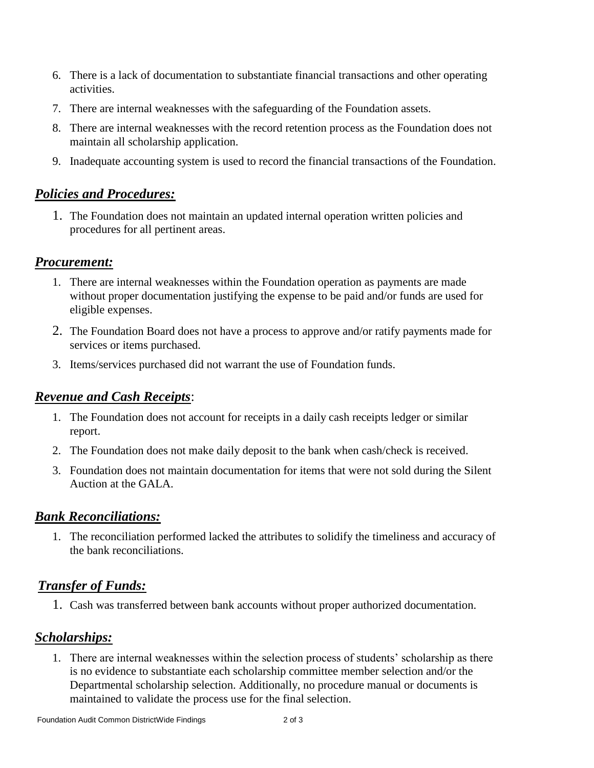- 6. There is a lack of documentation to substantiate financial transactions and other operating activities.
- 7. There are internal weaknesses with the safeguarding of the Foundation assets.
- 8. There are internal weaknesses with the record retention process as the Foundation does not maintain all scholarship application.
- 9. Inadequate accounting system is used to record the financial transactions of the Foundation.

# *Policies and Procedures:*

1. The Foundation does not maintain an updated internal operation written policies and procedures for all pertinent areas.

#### *Procurement:*

- 1. There are internal weaknesses within the Foundation operation as payments are made without proper documentation justifying the expense to be paid and/or funds are used for eligible expenses.
- 2. The Foundation Board does not have a process to approve and/or ratify payments made for services or items purchased.
- 3. Items/services purchased did not warrant the use of Foundation funds.

#### *Revenue and Cash Receipts*:

- 1. The Foundation does not account for receipts in a daily cash receipts ledger or similar report.
- 2. The Foundation does not make daily deposit to the bank when cash/check is received.
- 3. Foundation does not maintain documentation for items that were not sold during the Silent Auction at the GALA.

#### *Bank Reconciliations:*

1. The reconciliation performed lacked the attributes to solidify the timeliness and accuracy of the bank reconciliations.

# *Transfer of Funds:*

1. Cash was transferred between bank accounts without proper authorized documentation.

#### *Scholarships:*

1. There are internal weaknesses within the selection process of students' scholarship as there is no evidence to substantiate each scholarship committee member selection and/or the Departmental scholarship selection. Additionally, no procedure manual or documents is maintained to validate the process use for the final selection.